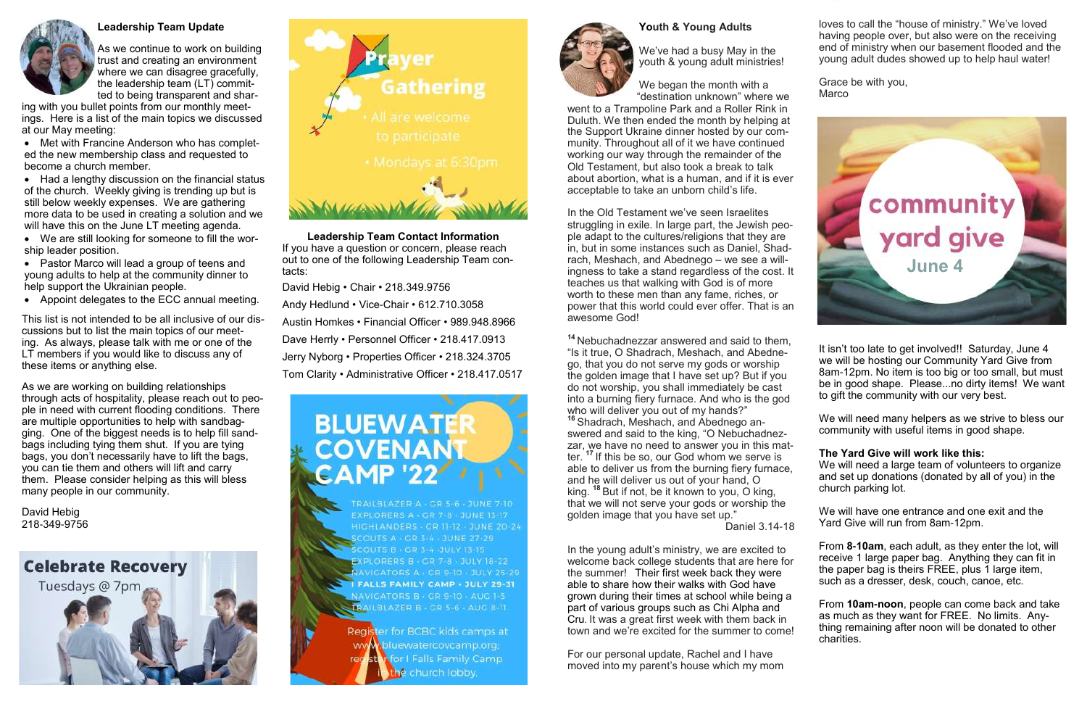## **Youth & Young Adults**



We've had a busy May in the youth & young adult ministries!

We began the month with a "destination unknown" where we

went to a Trampoline Park and a Roller Rink in Duluth. We then ended the month by helping at the Support Ukraine dinner hosted by our community. Throughout all of it we have continued working our way through the remainder of the Old Testament, but also took a break to talk about abortion, what is a human, and if it is ever acceptable to take an unborn child's life.

In the Old Testament we've seen Israelites struggling in exile. In large part, the Jewish people adapt to the cultures/religions that they are in, but in some instances such as Daniel, Shadrach, Meshach, and Abednego – we see a willingness to take a stand regardless of the cost. It teaches us that walking with God is of more worth to these men than any fame, riches, or power that this world could ever offer. That is an awesome God!

**<sup>14</sup>** Nebuchadnezzar answered and said to them, "Is it true, O Shadrach, Meshach, and Abednego, that you do not serve my gods or worship the golden image that I have set up? But if you do not worship, you shall immediately be cast into a burning fiery furnace. And who is the god who will deliver you out of my hands?"

Grace be with you, **Marco** 

**<sup>16</sup>** Shadrach, Meshach, and Abednego answered and said to the king, "O Nebuchadnezzar, we have no need to answer you in this matter. **<sup>17</sup>** If this be so, our God whom we serve is able to deliver us from the burning fiery furnace, and he will deliver us out of your hand, O king. **<sup>18</sup>** But if not, be it known to you, O king, that we will not serve your gods or worship the golden image that you have set up."

Daniel 3.14-18

In the young adult's ministry, we are excited to welcome back college students that are here for the summer! Their first week back they were able to share how their walks with God have grown during their times at school while being a part of various groups such as Chi Alpha and Cru. It was a great first week with them back in town and we're excited for the summer to come!

For our personal update, Rachel and I have moved into my parent's house which my mom loves to call the "house of ministry." We've loved having people over, but also were on the receiving end of ministry when our basement flooded and the young adult dudes showed up to help haul water!

It isn't too late to get involved!! Saturday, June 4 we will be hosting our Community Yard Give from 8am-12pm. No item is too big or too small, but must be in good shape. Please...no dirty items! We want to gift the community with our very best.

We will need many helpers as we strive to bless our community with useful items in good shape.

### **The Yard Give will work like this:**

We will need a large team of volunteers to organize and set up donations (donated by all of you) in the church parking lot.

We will have one entrance and one exit and the Yard Give will run from 8am-12pm.

From **8-10am**, each adult, as they enter the lot, will receive 1 large paper bag. Anything they can fit in the paper bag is theirs FREE, plus 1 large item, such as a dresser, desk, couch, canoe, etc.

From **10am-noon**, people can come back and take as much as they want for FREE. No limits. Anything remaining after noon will be donated to other charities.



#### **Leadership Team Update**

As we continue to work on building trust and creating an environment where we can disagree gracefully, the leadership team (LT) committed to being transparent and shar-

ing with you bullet points from our monthly meetings. Here is a list of the main topics we discussed at our May meeting:

• Met with Francine Anderson who has completed the new membership class and requested to become a church member.

• Had a lengthy discussion on the financial status of the church. Weekly giving is trending up but is still below weekly expenses. We are gathering more data to be used in creating a solution and we will have this on the June LT meeting agenda.

• We are still looking for someone to fill the worship leader position.

• Pastor Marco will lead a group of teens and young adults to help at the community dinner to help support the Ukrainian people.

• Appoint delegates to the ECC annual meeting.

This list is not intended to be all inclusive of our discussions but to list the main topics of our meeting. As always, please talk with me or one of the LT members if you would like to discuss any of these items or anything else.

As we are working on building relationships through acts of hospitality, please reach out to people in need with current flooding conditions. There are multiple opportunities to help with sandbagging. One of the biggest needs is to help fill sandbags including tying them shut. If you are tying bags, you don't necessarily have to lift the bags, you can tie them and others will lift and carry them. Please consider helping as this will bless many people in our community.

David Hebig 218-349-9756

**Celebrate Recovery** 

Tuesdays @ 7pm



**Leadership Team Contact Information** If you have a question or concern, please reach out to one of the following Leadership Team contacts:

David Hebig • Chair • 218.349.9756

Andy Hedlund • Vice-Chair • 612.710.3058

Austin Homkes • Financial Officer • 989.948.8966

Dave Herrly • Personnel Officer • 218.417.0913

Jerry Nyborg • Properties Officer • 218.324.3705

Tom Clarity • Administrative Officer • 218.417.0517



TRAILBLAZER A - GR 5-6 - JUNE 7-10 EXPLORERS A - CR 7-8 JUNE 13-17 **HIGHLANDERS - GR 11-12 - JUNE 20-24** OUTS A - GR 3-4 - JUNE 27-29 **COUTS B . CR 3-4-JULY 13-15** ORERS B - GR 7-8 - JULY 18-22 AVIGATORS A - GR 9 TO - JULY 25-29 **FALLS FAMILY CAMP . JULY 29-31** NAVIGATORS B - GR 9-10 - AUG 1-5 TRAILBLAZER B - GR 5-6 - AUC 8-11

Register for BCBC kids camps at www.bluewatercovcamp.org **for I Falls Family Camp** receste church lobby.

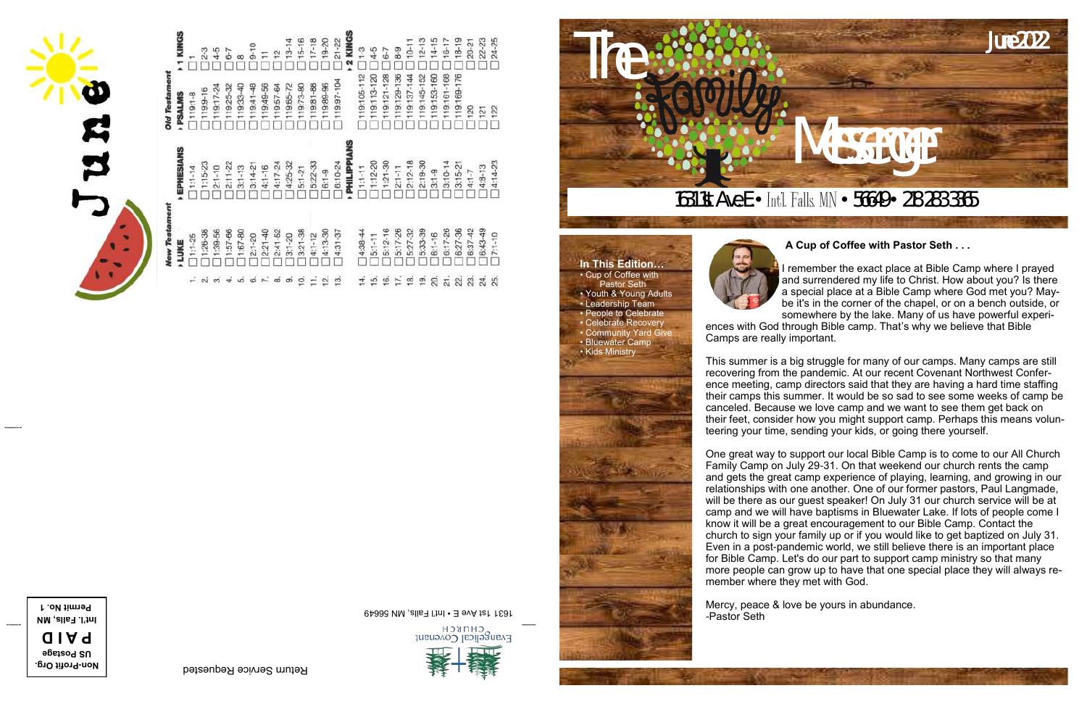

The



### **A Cup of Coffee with Pastor Seth . . .**

I remember the exact place at Bible Camp where I prayed and surrendered my life to Christ. How about you? Is there a special place at a Bible Camp where God met you? Maybe it's in the corner of the chapel, or on a bench outside, or somewhere by the lake. Many of us have powerful experiences with God through Bible camp. That's why we believe that Bible Camps are really important.

This summer is a big struggle for many of our camps. Many camps are still recovering from the pandemic. At our recent Covenant Northwest Conference meeting, camp directors said that they are having a hard time staffing their camps this summer. It would be so sad to see some weeks of camp be canceled. Because we love camp and we want to see them get back on their feet, consider how you might support camp. Perhaps this means volunteering your time, sending your kids, or going there yourself.

One great way to support our local Bible Camp is to come to our All Church Family Camp on July 29-31. On that weekend our church rents the camp and gets the great camp experience of playing, learning, and growing in our relationships with one another. One of our former pastors, Paul Langmade, will be there as our guest speaker! On July 31 our church service will be at camp and we will have baptisms in Bluewater Lake. If lots of people come I know it will be a great encouragement to our Bible Camp. Contact the church to sign your family up or if you would like to get baptized on July 31. Even in a post-pandemic world, we still believe there is an important place for Bible Camp. Let's do our part to support camp ministry so that many more people can grow up to have that one special place they will always remember where they met with God.

Mercy, peace & love be yours in abundance. -Pastor Seth

**In This Edition…** • Cup of Coffee with **Pastor Seth** • Youth & Young Adults • Leadership Team

• People to Celebrate • Celebrate Recovery • Community Yard Give • Bluewater Camp

• Kids Ministry

-—--

Return Service Requested **Profit Org. - Non**





 $\frac{9}{2}$ 

 $\frac{5:22-33}{6:1-9}$ 

 $5:1 - 21$ 

6:10-24

PHILIPI  $1:1 - 11$ 

 $1:15-23$ <br> $2:1-10$ 

ö

LUKE

 $1:1 - 14$ 

 $1 - 13$ <br> $14 - 21$ 

 $1:12 - 20$ 

 $1:21-30$ <br> $2:1-11$ 

 $12 - 18$ 

ഇ  $\mathbb{R}$   $252$ 

58838



Evangelical Covenant



<u>Permit No. 1</u> little and the set of the set of the set of the set of the set of the set of the set of the set o<br>Pro**N jimis Permit No. 1631 1st Ave Experiment No. 1631 1st Ave Experiment No. 1631 1st Ave Experiment No. 1**